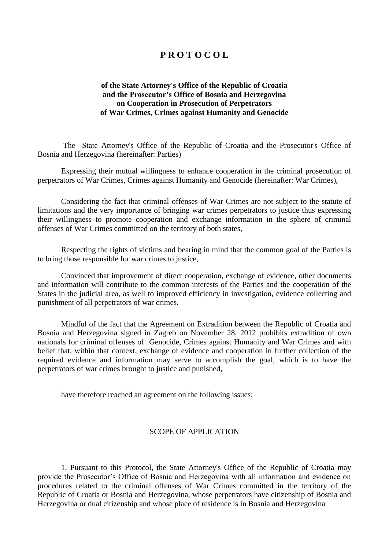# **P R O T O C O L**

## **of the State Attorney's Office of the Republic of Croatia and the Prosecutor's Office of Bosnia and Herzegovina on Cooperation in Prosecution of Perpetrators of War Crimes, Crimes against Humanity and Genocide**

 The State Attorney's Office of the Republic of Croatia and the Prosecutor's Office of Bosnia and Herzegovina (hereinafter: Parties)

Expressing their mutual willingness to enhance cooperation in the criminal prosecution of perpetrators of War Crimes, Crimes against Humanity and Genocide (hereinafter: War Crimes),

Considering the fact that criminal offenses of War Crimes are not subject to the statute of limitations and the very importance of bringing war crimes perpetrators to justice thus expressing their willingness to promote cooperation and exchange information in the sphere of criminal offenses of War Crimes committed on the territory of both states,

Respecting the rights of victims and bearing in mind that the common goal of the Parties is to bring those responsible for war crimes to justice,

Convinced that improvement of direct cooperation, exchange of evidence, other documents and information will contribute to the common interests of the Parties and the cooperation of the States in the judicial area, as well to improved efficiency in investigation, evidence collecting and punishment of all perpetrators of war crimes.

Mindful of the fact that the Agreement on Extradition between the Republic of Croatia and Bosnia and Herzegovina signed in Zagreb on November 28, 2012 prohibits extradition of own nationals for criminal offenses of Genocide, Crimes against Humanity and War Crimes and with belief that, within that context, exchange of evidence and cooperation in further collection of the required evidence and information may serve to accomplish the goal, which is to have the perpetrators of war crimes brought to justice and punished,

have therefore reached an agreement on the following issues:

### SCOPE OF APPLICATION

1. Pursuant to this Protocol, the State Attorney's Office of the Republic of Croatia may provide the Prosecutor's Office of Bosnia and Herzegovina with all information and evidence on procedures related to the criminal offenses of War Crimes committed in the territory of the Republic of Croatia or Bosnia and Herzegovina, whose perpetrators have citizenship of Bosnia and Herzegovina or dual citizenship and whose place of residence is in Bosnia and Herzegovina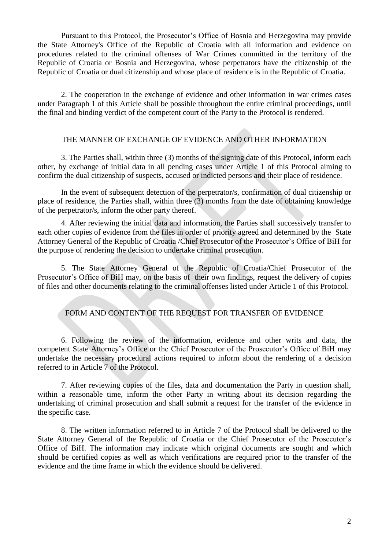Pursuant to this Protocol, the Prosecutor's Office of Bosnia and Herzegovina may provide the State Attorney's Office of the Republic of Croatia with all information and evidence on procedures related to the criminal offenses of War Crimes committed in the territory of the Republic of Croatia or Bosnia and Herzegovina, whose perpetrators have the citizenship of the Republic of Croatia or dual citizenship and whose place of residence is in the Republic of Croatia.

2. The cooperation in the exchange of evidence and other information in war crimes cases under Paragraph 1 of this Article shall be possible throughout the entire criminal proceedings, until the final and binding verdict of the competent court of the Party to the Protocol is rendered.

### THE MANNER OF EXCHANGE OF EVIDENCE AND OTHER INFORMATION

3. The Parties shall, within three (3) months of the signing date of this Protocol, inform each other, by exchange of initial data in all pending cases under Article 1 of this Protocol aiming to confirm the dual citizenship of suspects, accused or indicted persons and their place of residence.

In the event of subsequent detection of the perpetrator/s, confirmation of dual citizenship or place of residence, the Parties shall, within three (3) months from the date of obtaining knowledge of the perpetrator/s, inform the other party thereof.

4. After reviewing the initial data and information, the Parties shall successively transfer to each other copies of evidence from the files in order of priority agreed and determined by the State Attorney General of the Republic of Croatia /Chief Prosecutor of the Prosecutor's Office of BiH for the purpose of rendering the decision to undertake criminal prosecution.

5. The State Attorney General of the Republic of Croatia/Chief Prosecutor of the Prosecutor's Office of BiH may, on the basis of their own findings, request the delivery of copies of files and other documents relating to the criminal offenses listed under Article 1 of this Protocol.

# FORM AND CONTENT OF THE REQUEST FOR TRANSFER OF EVIDENCE

6. Following the review of the information, evidence and other writs and data, the competent State Attorney's Office or the Chief Prosecutor of the Prosecutor's Office of BiH may undertake the necessary procedural actions required to inform about the rendering of a decision referred to in Article 7 of the Protocol.

7. After reviewing copies of the files, data and documentation the Party in question shall, within a reasonable time, inform the other Party in writing about its decision regarding the undertaking of criminal prosecution and shall submit a request for the transfer of the evidence in the specific case.

8. The written information referred to in Article 7 of the Protocol shall be delivered to the State Attorney General of the Republic of Croatia or the Chief Prosecutor of the Prosecutor's Office of BiH. The information may indicate which original documents are sought and which should be certified copies as well as which verifications are required prior to the transfer of the evidence and the time frame in which the evidence should be delivered.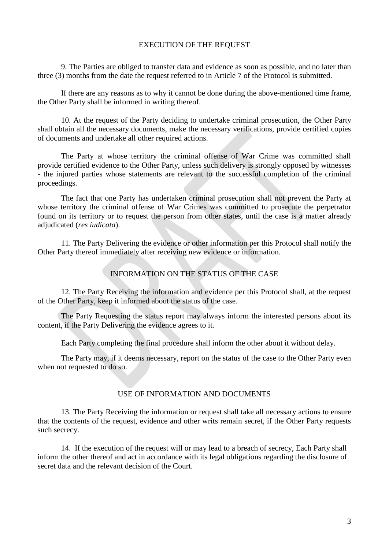#### EXECUTION OF THE REQUEST

9. The Parties are obliged to transfer data and evidence as soon as possible, and no later than three (3) months from the date the request referred to in Article 7 of the Protocol is submitted.

If there are any reasons as to why it cannot be done during the above-mentioned time frame, the Other Party shall be informed in writing thereof.

10. At the request of the Party deciding to undertake criminal prosecution, the Other Party shall obtain all the necessary documents, make the necessary verifications, provide certified copies of documents and undertake all other required actions.

The Party at whose territory the criminal offense of War Crime was committed shall provide certified evidence to the Other Party, unless such delivery is strongly opposed by witnesses - the injured parties whose statements are relevant to the successful completion of the criminal proceedings.

The fact that one Party has undertaken criminal prosecution shall not prevent the Party at whose territory the criminal offense of War Crimes was committed to prosecute the perpetrator found on its territory or to request the person from other states, until the case is a matter already adjudicated (*res iudicata*).

11. The Party Delivering the evidence or other information per this Protocol shall notify the Other Party thereof immediately after receiving new evidence or information.

#### INFORMATION ON THE STATUS OF THE CASE

12. The Party Receiving the information and evidence per this Protocol shall, at the request of the Other Party, keep it informed about the status of the case.

The Party Requesting the status report may always inform the interested persons about its content, if the Party Delivering the evidence agrees to it.

Each Party completing the final procedure shall inform the other about it without delay.

The Party may, if it deems necessary, report on the status of the case to the Other Party even when not requested to do so.

#### USE OF INFORMATION AND DOCUMENTS

13. The Party Receiving the information or request shall take all necessary actions to ensure that the contents of the request, evidence and other writs remain secret, if the Other Party requests such secrecy.

14. If the execution of the request will or may lead to a breach of secrecy, Each Party shall inform the other thereof and act in accordance with its legal obligations regarding the disclosure of secret data and the relevant decision of the Court.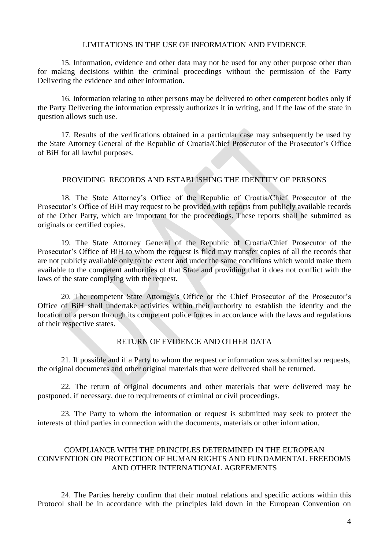#### LIMITATIONS IN THE USE OF INFORMATION AND EVIDENCE

15. Information, evidence and other data may not be used for any other purpose other than for making decisions within the criminal proceedings without the permission of the Party Delivering the evidence and other information.

16. Information relating to other persons may be delivered to other competent bodies only if the Party Delivering the information expressly authorizes it in writing, and if the law of the state in question allows such use.

17. Results of the verifications obtained in a particular case may subsequently be used by the State Attorney General of the Republic of Croatia/Chief Prosecutor of the Prosecutor's Office of BiH for all lawful purposes.

### PROVIDING RECORDS AND ESTABLISHING THE IDENTITY OF PERSONS

18. The State Attorney's Office of the Republic of Croatia/Chief Prosecutor of the Prosecutor's Office of BiH may request to be provided with reports from publicly available records of the Other Party, which are important for the proceedings. These reports shall be submitted as originals or certified copies.

19. The State Attorney General of the Republic of Croatia/Chief Prosecutor of the Prosecutor's Office of BiH to whom the request is filed may transfer copies of all the records that are not publicly available only to the extent and under the same conditions which would make them available to the competent authorities of that State and providing that it does not conflict with the laws of the state complying with the request.

20. The competent State Attorney's Office or the Chief Prosecutor of the Prosecutor's Office of BiH shall undertake activities within their authority to establish the identity and the location of a person through its competent police forces in accordance with the laws and regulations of their respective states.

## RETURN OF EVIDENCE AND OTHER DATA

21. If possible and if a Party to whom the request or information was submitted so requests, the original documents and other original materials that were delivered shall be returned.

22. The return of original documents and other materials that were delivered may be postponed, if necessary, due to requirements of criminal or civil proceedings.

23. The Party to whom the information or request is submitted may seek to protect the interests of third parties in connection with the documents, materials or other information.

## COMPLIANCE WITH THE PRINCIPLES DETERMINED IN THE EUROPEAN CONVENTION ON PROTECTION OF HUMAN RIGHTS AND FUNDAMENTAL FREEDOMS AND OTHER INTERNATIONAL AGREEMENTS

24. The Parties hereby confirm that their mutual relations and specific actions within this Protocol shall be in accordance with the principles laid down in the European Convention on